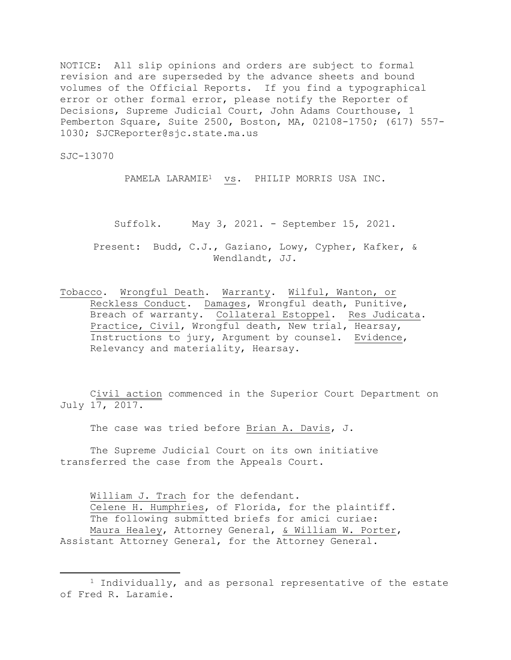NOTICE: All slip opinions and orders are subject to formal revision and are superseded by the advance sheets and bound volumes of the Official Reports. If you find a typographical error or other formal error, please notify the Reporter of Decisions, Supreme Judicial Court, John Adams Courthouse, 1 Pemberton Square, Suite 2500, Boston, MA, 02108-1750; (617) 557- 1030; SJCReporter@sjc.state.ma.us

SJC-13070

PAMELA LARAMIE<sup>1</sup> vs. PHILIP MORRIS USA INC.

Suffolk. May 3, 2021. - September 15, 2021.

Present: Budd, C.J., Gaziano, Lowy, Cypher, Kafker, & Wendlandt, JJ.

Tobacco. Wrongful Death. Warranty. Wilful, Wanton, or Reckless Conduct. Damages, Wrongful death, Punitive, Breach of warranty. Collateral Estoppel. Res Judicata. Practice, Civil, Wrongful death, New trial, Hearsay, Instructions to jury, Argument by counsel. Evidence, Relevancy and materiality, Hearsay.

Civil action commenced in the Superior Court Department on July 17, 2017.

The case was tried before Brian A. Davis, J.

The Supreme Judicial Court on its own initiative transferred the case from the Appeals Court.

William J. Trach for the defendant. Celene H. Humphries, of Florida, for the plaintiff. The following submitted briefs for amici curiae: Maura Healey, Attorney General, & William W. Porter, Assistant Attorney General, for the Attorney General.

<sup>&</sup>lt;sup>1</sup> Individually, and as personal representative of the estate of Fred R. Laramie.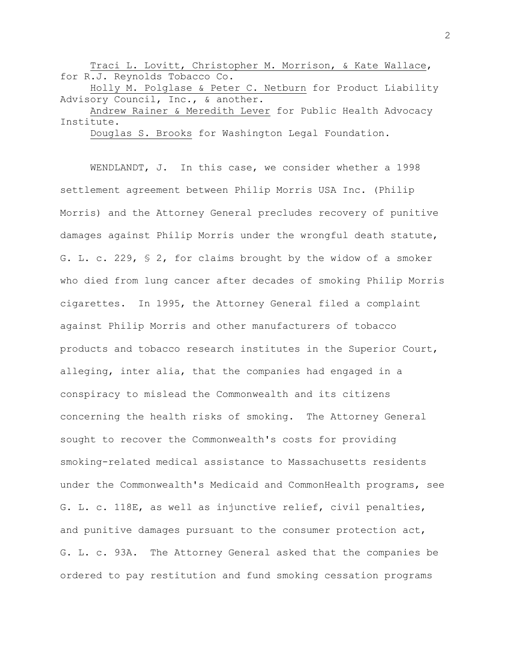Traci L. Lovitt, Christopher M. Morrison, & Kate Wallace, for R.J. Reynolds Tobacco Co.

Holly M. Polglase & Peter C. Netburn for Product Liability Advisory Council, Inc., & another.

Andrew Rainer & Meredith Lever for Public Health Advocacy Institute.

Douglas S. Brooks for Washington Legal Foundation.

WENDLANDT, J. In this case, we consider whether a 1998 settlement agreement between Philip Morris USA Inc. (Philip Morris) and the Attorney General precludes recovery of punitive damages against Philip Morris under the wrongful death statute, G. L. c. 229, § 2, for claims brought by the widow of a smoker who died from lung cancer after decades of smoking Philip Morris cigarettes. In 1995, the Attorney General filed a complaint against Philip Morris and other manufacturers of tobacco products and tobacco research institutes in the Superior Court, alleging, inter alia, that the companies had engaged in a conspiracy to mislead the Commonwealth and its citizens concerning the health risks of smoking. The Attorney General sought to recover the Commonwealth's costs for providing smoking-related medical assistance to Massachusetts residents under the Commonwealth's Medicaid and CommonHealth programs, see G. L. c. 118E, as well as injunctive relief, civil penalties, and punitive damages pursuant to the consumer protection act, G. L. c. 93A. The Attorney General asked that the companies be ordered to pay restitution and fund smoking cessation programs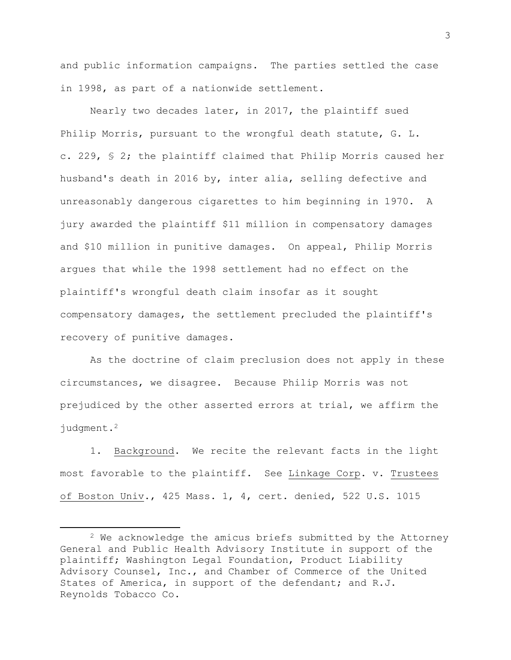and public information campaigns. The parties settled the case in 1998, as part of a nationwide settlement.

Nearly two decades later, in 2017, the plaintiff sued Philip Morris, pursuant to the wrongful death statute, G. L. c. 229, § 2; the plaintiff claimed that Philip Morris caused her husband's death in 2016 by, inter alia, selling defective and unreasonably dangerous cigarettes to him beginning in 1970. A jury awarded the plaintiff \$11 million in compensatory damages and \$10 million in punitive damages. On appeal, Philip Morris argues that while the 1998 settlement had no effect on the plaintiff's wrongful death claim insofar as it sought compensatory damages, the settlement precluded the plaintiff's recovery of punitive damages.

As the doctrine of claim preclusion does not apply in these circumstances, we disagree. Because Philip Morris was not prejudiced by the other asserted errors at trial, we affirm the judgment.<sup>2</sup>

1. Background. We recite the relevant facts in the light most favorable to the plaintiff. See Linkage Corp. v. Trustees of Boston Univ., 425 Mass. 1, 4, cert. denied, 522 U.S. 1015

<sup>&</sup>lt;sup>2</sup> We acknowledge the amicus briefs submitted by the Attorney General and Public Health Advisory Institute in support of the plaintiff; Washington Legal Foundation, Product Liability Advisory Counsel, Inc., and Chamber of Commerce of the United States of America, in support of the defendant; and R.J. Reynolds Tobacco Co.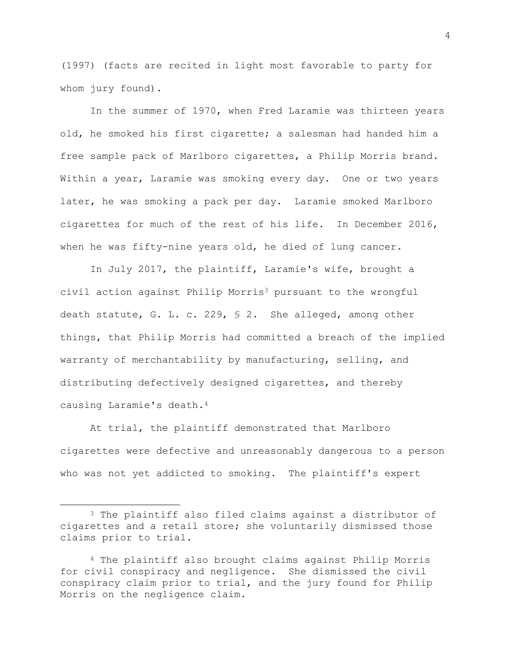(1997) (facts are recited in light most favorable to party for whom jury found).

In the summer of 1970, when Fred Laramie was thirteen years old, he smoked his first cigarette; a salesman had handed him a free sample pack of Marlboro cigarettes, a Philip Morris brand. Within a year, Laramie was smoking every day. One or two years later, he was smoking a pack per day. Laramie smoked Marlboro cigarettes for much of the rest of his life. In December 2016, when he was fifty-nine years old, he died of lung cancer.

In July 2017, the plaintiff, Laramie's wife, brought a civil action against Philip Morris<sup>3</sup> pursuant to the wrongful death statute, G. L. c. 229, § 2. She alleged, among other things, that Philip Morris had committed a breach of the implied warranty of merchantability by manufacturing, selling, and distributing defectively designed cigarettes, and thereby causing Laramie's death.<sup>4</sup>

At trial, the plaintiff demonstrated that Marlboro cigarettes were defective and unreasonably dangerous to a person who was not yet addicted to smoking. The plaintiff's expert

4

<sup>3</sup> The plaintiff also filed claims against a distributor of cigarettes and a retail store; she voluntarily dismissed those claims prior to trial.

<sup>4</sup> The plaintiff also brought claims against Philip Morris for civil conspiracy and negligence. She dismissed the civil conspiracy claim prior to trial, and the jury found for Philip Morris on the negligence claim.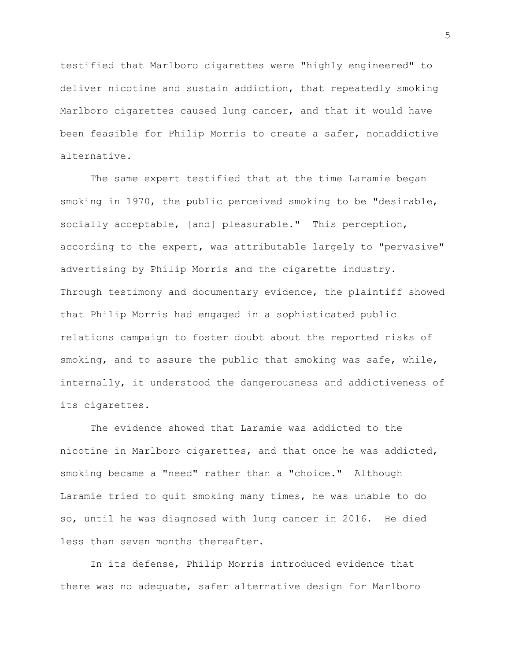testified that Marlboro cigarettes were "highly engineered" to deliver nicotine and sustain addiction, that repeatedly smoking Marlboro cigarettes caused lung cancer, and that it would have been feasible for Philip Morris to create a safer, nonaddictive alternative.

The same expert testified that at the time Laramie began smoking in 1970, the public perceived smoking to be "desirable, socially acceptable, [and] pleasurable." This perception, according to the expert, was attributable largely to "pervasive" advertising by Philip Morris and the cigarette industry. Through testimony and documentary evidence, the plaintiff showed that Philip Morris had engaged in a sophisticated public relations campaign to foster doubt about the reported risks of smoking, and to assure the public that smoking was safe, while, internally, it understood the dangerousness and addictiveness of its cigarettes.

The evidence showed that Laramie was addicted to the nicotine in Marlboro cigarettes, and that once he was addicted, smoking became a "need" rather than a "choice." Although Laramie tried to quit smoking many times, he was unable to do so, until he was diagnosed with lung cancer in 2016. He died less than seven months thereafter.

In its defense, Philip Morris introduced evidence that there was no adequate, safer alternative design for Marlboro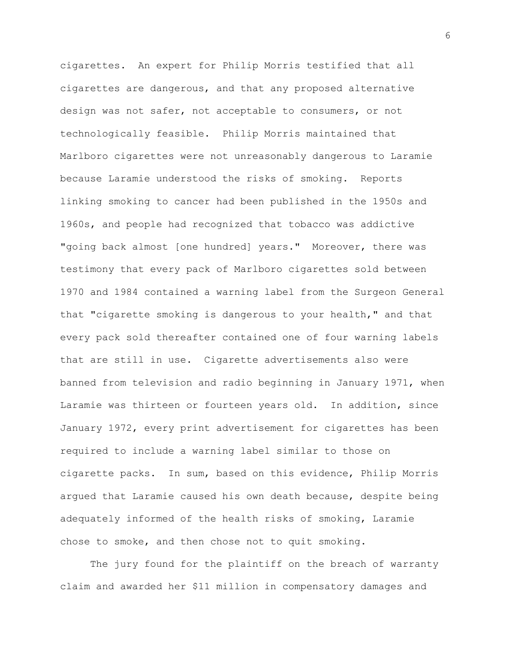cigarettes. An expert for Philip Morris testified that all cigarettes are dangerous, and that any proposed alternative design was not safer, not acceptable to consumers, or not technologically feasible. Philip Morris maintained that Marlboro cigarettes were not unreasonably dangerous to Laramie because Laramie understood the risks of smoking. Reports linking smoking to cancer had been published in the 1950s and 1960s, and people had recognized that tobacco was addictive "going back almost [one hundred] years." Moreover, there was testimony that every pack of Marlboro cigarettes sold between 1970 and 1984 contained a warning label from the Surgeon General that "cigarette smoking is dangerous to your health," and that every pack sold thereafter contained one of four warning labels that are still in use. Cigarette advertisements also were banned from television and radio beginning in January 1971, when Laramie was thirteen or fourteen years old. In addition, since January 1972, every print advertisement for cigarettes has been required to include a warning label similar to those on cigarette packs. In sum, based on this evidence, Philip Morris argued that Laramie caused his own death because, despite being adequately informed of the health risks of smoking, Laramie chose to smoke, and then chose not to quit smoking.

The jury found for the plaintiff on the breach of warranty claim and awarded her \$11 million in compensatory damages and

6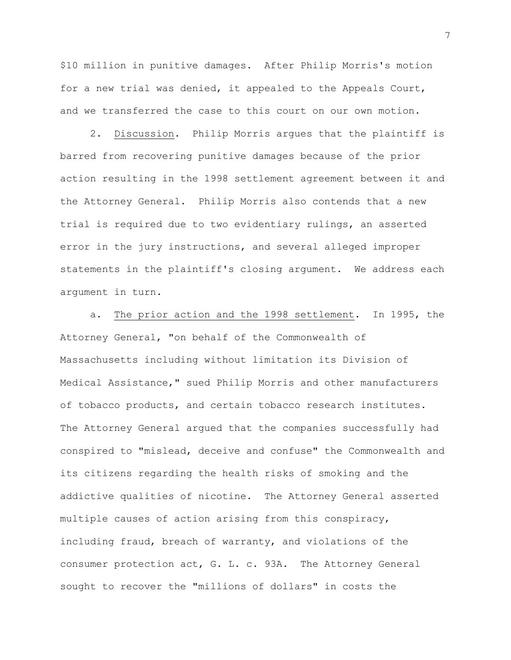\$10 million in punitive damages. After Philip Morris's motion for a new trial was denied, it appealed to the Appeals Court, and we transferred the case to this court on our own motion.

2. Discussion. Philip Morris argues that the plaintiff is barred from recovering punitive damages because of the prior action resulting in the 1998 settlement agreement between it and the Attorney General. Philip Morris also contends that a new trial is required due to two evidentiary rulings, an asserted error in the jury instructions, and several alleged improper statements in the plaintiff's closing argument. We address each argument in turn.

a. The prior action and the 1998 settlement. In 1995, the Attorney General, "on behalf of the Commonwealth of Massachusetts including without limitation its Division of Medical Assistance," sued Philip Morris and other manufacturers of tobacco products, and certain tobacco research institutes. The Attorney General argued that the companies successfully had conspired to "mislead, deceive and confuse" the Commonwealth and its citizens regarding the health risks of smoking and the addictive qualities of nicotine. The Attorney General asserted multiple causes of action arising from this conspiracy, including fraud, breach of warranty, and violations of the consumer protection act, G. L. c. 93A. The Attorney General sought to recover the "millions of dollars" in costs the

7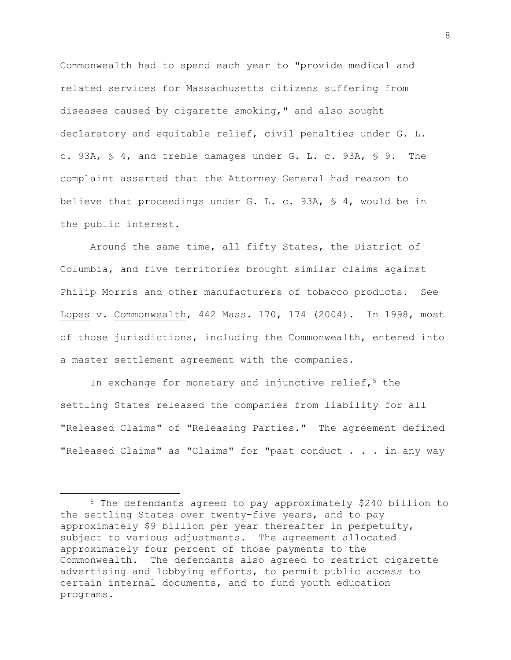Commonwealth had to spend each year to "provide medical and related services for Massachusetts citizens suffering from diseases caused by cigarette smoking," and also sought declaratory and equitable relief, civil penalties under G. L. c. 93A, § 4, and treble damages under G. L. c. 93A, § 9. The complaint asserted that the Attorney General had reason to believe that proceedings under G. L. c. 93A, § 4, would be in the public interest.

Around the same time, all fifty States, the District of Columbia, and five territories brought similar claims against Philip Morris and other manufacturers of tobacco products. See Lopes v. Commonwealth, 442 Mass. 170, 174 (2004). In 1998, most of those jurisdictions, including the Commonwealth, entered into a master settlement agreement with the companies.

In exchange for monetary and injunctive relief,  $5$  the settling States released the companies from liability for all "Released Claims" of "Releasing Parties." The agreement defined "Released Claims" as "Claims" for "past conduct . . . in any way

<sup>5</sup> The defendants agreed to pay approximately \$240 billion to the settling States over twenty-five years, and to pay approximately \$9 billion per year thereafter in perpetuity, subject to various adjustments. The agreement allocated approximately four percent of those payments to the Commonwealth. The defendants also agreed to restrict cigarette advertising and lobbying efforts, to permit public access to certain internal documents, and to fund youth education programs.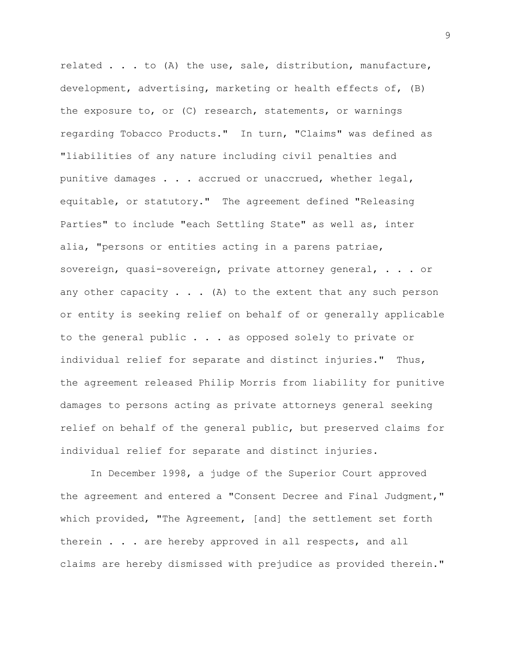related . . . to (A) the use, sale, distribution, manufacture, development, advertising, marketing or health effects of, (B) the exposure to, or (C) research, statements, or warnings regarding Tobacco Products." In turn, "Claims" was defined as "liabilities of any nature including civil penalties and punitive damages . . . accrued or unaccrued, whether legal, equitable, or statutory." The agreement defined "Releasing Parties" to include "each Settling State" as well as, inter alia, "persons or entities acting in a parens patriae, sovereign, quasi-sovereign, private attorney general, . . . or any other capacity  $\ldots$  (A) to the extent that any such person or entity is seeking relief on behalf of or generally applicable to the general public . . . as opposed solely to private or individual relief for separate and distinct injuries." Thus, the agreement released Philip Morris from liability for punitive damages to persons acting as private attorneys general seeking relief on behalf of the general public, but preserved claims for individual relief for separate and distinct injuries.

In December 1998, a judge of the Superior Court approved the agreement and entered a "Consent Decree and Final Judgment," which provided, "The Agreement, [and] the settlement set forth therein . . . are hereby approved in all respects, and all claims are hereby dismissed with prejudice as provided therein."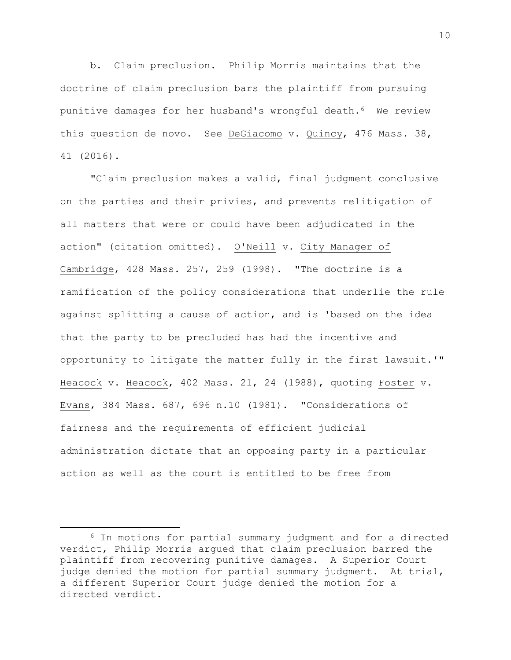b. Claim preclusion. Philip Morris maintains that the doctrine of claim preclusion bars the plaintiff from pursuing punitive damages for her husband's wrongful death.6 We review this question de novo. See DeGiacomo v. Quincy, 476 Mass. 38, 41 (2016).

"Claim preclusion makes a valid, final judgment conclusive on the parties and their privies, and prevents relitigation of all matters that were or could have been adjudicated in the action" (citation omitted). O'Neill v. City Manager of Cambridge, 428 Mass. 257, 259 (1998). "The doctrine is a ramification of the policy considerations that underlie the rule against splitting a cause of action, and is 'based on the idea that the party to be precluded has had the incentive and opportunity to litigate the matter fully in the first lawsuit.'" Heacock v. Heacock, 402 Mass. 21, 24 (1988), quoting Foster v. Evans, 384 Mass. 687, 696 n.10 (1981). "Considerations of fairness and the requirements of efficient judicial administration dictate that an opposing party in a particular action as well as the court is entitled to be free from

<sup>6</sup> In motions for partial summary judgment and for a directed verdict, Philip Morris argued that claim preclusion barred the plaintiff from recovering punitive damages. A Superior Court judge denied the motion for partial summary judgment. At trial, a different Superior Court judge denied the motion for a directed verdict.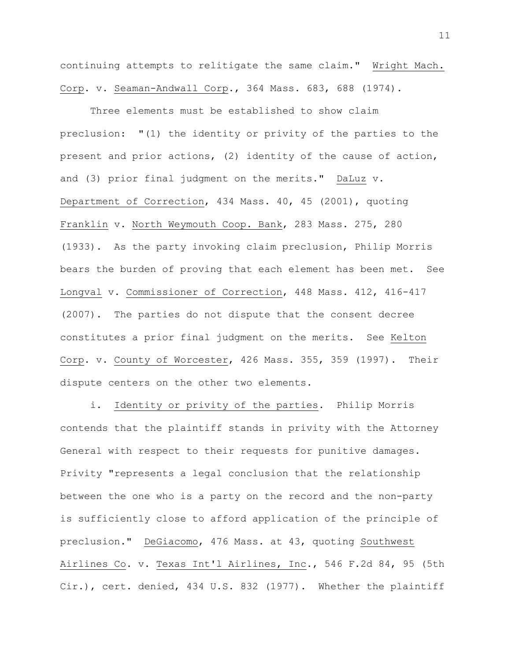continuing attempts to relitigate the same claim." Wright Mach. Corp. v. Seaman-Andwall Corp., 364 Mass. 683, 688 (1974).

Three elements must be established to show claim preclusion: "(1) the identity or privity of the parties to the present and prior actions, (2) identity of the cause of action, and (3) prior final judgment on the merits." DaLuz v. Department of Correction, 434 Mass. 40, 45 (2001), quoting Franklin v. North Weymouth Coop. Bank, 283 Mass. 275, 280 (1933). As the party invoking claim preclusion, Philip Morris bears the burden of proving that each element has been met. See Longval v. Commissioner of Correction, 448 Mass. 412, 416-417 (2007). The parties do not dispute that the consent decree constitutes a prior final judgment on the merits. See Kelton Corp. v. County of Worcester, 426 Mass. 355, 359 (1997). Their dispute centers on the other two elements.

i. Identity or privity of the parties. Philip Morris contends that the plaintiff stands in privity with the Attorney General with respect to their requests for punitive damages. Privity "represents a legal conclusion that the relationship between the one who is a party on the record and the non-party is sufficiently close to afford application of the principle of preclusion." DeGiacomo, 476 Mass. at 43, quoting Southwest Airlines Co. v. Texas Int'l Airlines, Inc., 546 F.2d 84, 95 (5th Cir.), cert. denied, 434 U.S. 832 (1977). Whether the plaintiff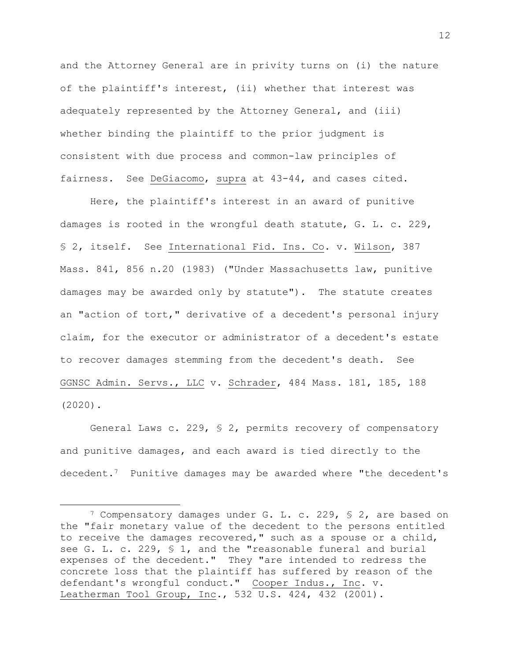and the Attorney General are in privity turns on (i) the nature of the plaintiff's interest, (ii) whether that interest was adequately represented by the Attorney General, and (iii) whether binding the plaintiff to the prior judgment is consistent with due process and common-law principles of fairness. See DeGiacomo, supra at 43-44, and cases cited.

Here, the plaintiff's interest in an award of punitive damages is rooted in the wrongful death statute, G. L. c. 229, § 2, itself. See International Fid. Ins. Co. v. Wilson, 387 Mass. 841, 856 n.20 (1983) ("Under Massachusetts law, punitive damages may be awarded only by statute"). The statute creates an "action of tort," derivative of a decedent's personal injury claim, for the executor or administrator of a decedent's estate to recover damages stemming from the decedent's death. See GGNSC Admin. Servs., LLC v. Schrader, 484 Mass. 181, 185, 188 (2020).

General Laws c. 229, § 2, permits recovery of compensatory and punitive damages, and each award is tied directly to the decedent.7 Punitive damages may be awarded where "the decedent's

<sup>7</sup> Compensatory damages under G. L. c. 229, § 2, are based on the "fair monetary value of the decedent to the persons entitled to receive the damages recovered," such as a spouse or a child, see G. L. c. 229, § 1, and the "reasonable funeral and burial expenses of the decedent." They "are intended to redress the concrete loss that the plaintiff has suffered by reason of the defendant's wrongful conduct." Cooper Indus., Inc. v. Leatherman Tool Group, Inc., 532 U.S. 424, 432 (2001).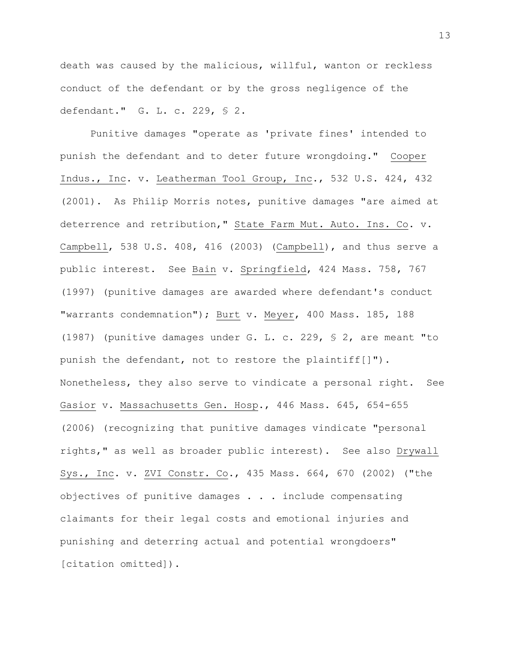death was caused by the malicious, willful, wanton or reckless conduct of the defendant or by the gross negligence of the defendant." G. L. c. 229, § 2.

Punitive damages "operate as 'private fines' intended to punish the defendant and to deter future wrongdoing." Cooper Indus., Inc. v. Leatherman Tool Group, Inc., 532 U.S. 424, 432 (2001). As Philip Morris notes, punitive damages "are aimed at deterrence and retribution," State Farm Mut. Auto. Ins. Co. v. Campbell, 538 U.S. 408, 416 (2003) (Campbell), and thus serve a public interest. See Bain v. Springfield, 424 Mass. 758, 767 (1997) (punitive damages are awarded where defendant's conduct "warrants condemnation"); Burt v. Meyer, 400 Mass. 185, 188 (1987) (punitive damages under G. L. c. 229, § 2, are meant "to punish the defendant, not to restore the plaintiff[]"). Nonetheless, they also serve to vindicate a personal right. See Gasior v. Massachusetts Gen. Hosp., 446 Mass. 645, 654-655 (2006) (recognizing that punitive damages vindicate "personal rights," as well as broader public interest). See also Drywall Sys., Inc. v. ZVI Constr. Co., 435 Mass. 664, 670 (2002) ("the objectives of punitive damages . . . include compensating claimants for their legal costs and emotional injuries and punishing and deterring actual and potential wrongdoers" [citation omitted]).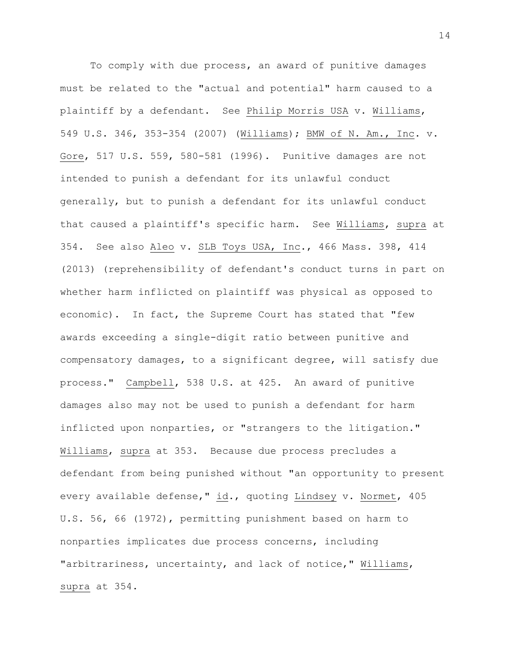To comply with due process, an award of punitive damages must be related to the "actual and potential" harm caused to a plaintiff by a defendant. See Philip Morris USA v. Williams, 549 U.S. 346, 353-354 (2007) (Williams); BMW of N. Am., Inc. v. Gore, 517 U.S. 559, 580-581 (1996). Punitive damages are not intended to punish a defendant for its unlawful conduct generally, but to punish a defendant for its unlawful conduct that caused a plaintiff's specific harm. See Williams, supra at 354. See also Aleo v. SLB Toys USA, Inc., 466 Mass. 398, 414 (2013) (reprehensibility of defendant's conduct turns in part on whether harm inflicted on plaintiff was physical as opposed to economic). In fact, the Supreme Court has stated that "few awards exceeding a single-digit ratio between punitive and compensatory damages, to a significant degree, will satisfy due process." Campbell, 538 U.S. at 425. An award of punitive damages also may not be used to punish a defendant for harm inflicted upon nonparties, or "strangers to the litigation." Williams, supra at 353. Because due process precludes a defendant from being punished without "an opportunity to present every available defense," id., quoting Lindsey v. Normet, 405 U.S. 56, 66 (1972), permitting punishment based on harm to nonparties implicates due process concerns, including "arbitrariness, uncertainty, and lack of notice," Williams, supra at 354.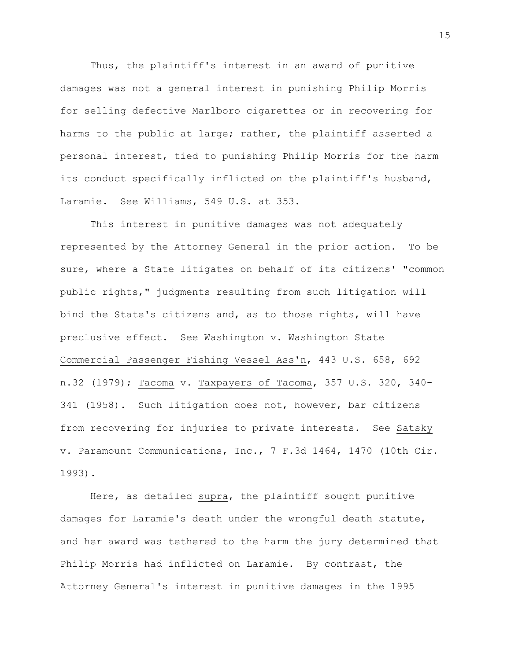Thus, the plaintiff's interest in an award of punitive damages was not a general interest in punishing Philip Morris for selling defective Marlboro cigarettes or in recovering for harms to the public at large; rather, the plaintiff asserted a personal interest, tied to punishing Philip Morris for the harm its conduct specifically inflicted on the plaintiff's husband, Laramie. See Williams, 549 U.S. at 353.

This interest in punitive damages was not adequately represented by the Attorney General in the prior action. To be sure, where a State litigates on behalf of its citizens' "common public rights," judgments resulting from such litigation will bind the State's citizens and, as to those rights, will have preclusive effect. See Washington v. Washington State Commercial Passenger Fishing Vessel Ass'n, 443 U.S. 658, 692 n.32 (1979); Tacoma v. Taxpayers of Tacoma, 357 U.S. 320, 340- 341 (1958). Such litigation does not, however, bar citizens from recovering for injuries to private interests. See Satsky v. Paramount Communications, Inc., 7 F.3d 1464, 1470 (10th Cir. 1993).

Here, as detailed supra, the plaintiff sought punitive damages for Laramie's death under the wrongful death statute, and her award was tethered to the harm the jury determined that Philip Morris had inflicted on Laramie. By contrast, the Attorney General's interest in punitive damages in the 1995

15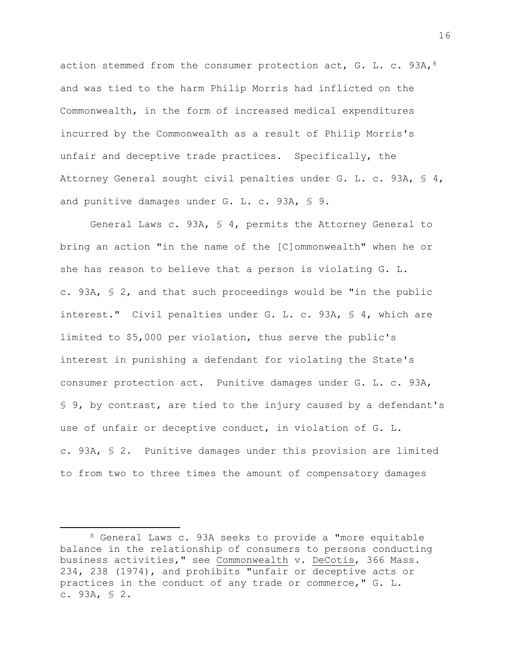action stemmed from the consumer protection act, G. L. c.  $93A$ ,  $8$ and was tied to the harm Philip Morris had inflicted on the Commonwealth, in the form of increased medical expenditures incurred by the Commonwealth as a result of Philip Morris's unfair and deceptive trade practices. Specifically, the Attorney General sought civil penalties under G. L. c. 93A, § 4, and punitive damages under G. L. c. 93A, § 9.

General Laws c. 93A, § 4, permits the Attorney General to bring an action "in the name of the [C]ommonwealth" when he or she has reason to believe that a person is violating G. L. c. 93A, § 2, and that such proceedings would be "in the public interest." Civil penalties under G. L. c. 93A, § 4, which are limited to \$5,000 per violation, thus serve the public's interest in punishing a defendant for violating the State's consumer protection act. Punitive damages under G. L. c. 93A, § 9, by contrast, are tied to the injury caused by a defendant's use of unfair or deceptive conduct, in violation of G. L. c. 93A, § 2. Punitive damages under this provision are limited to from two to three times the amount of compensatory damages

<sup>8</sup> General Laws c. 93A seeks to provide a "more equitable balance in the relationship of consumers to persons conducting business activities," see Commonwealth v. DeCotis, 366 Mass. 234, 238 (1974), and prohibits "unfair or deceptive acts or practices in the conduct of any trade or commerce," G. L. c. 93A, § 2.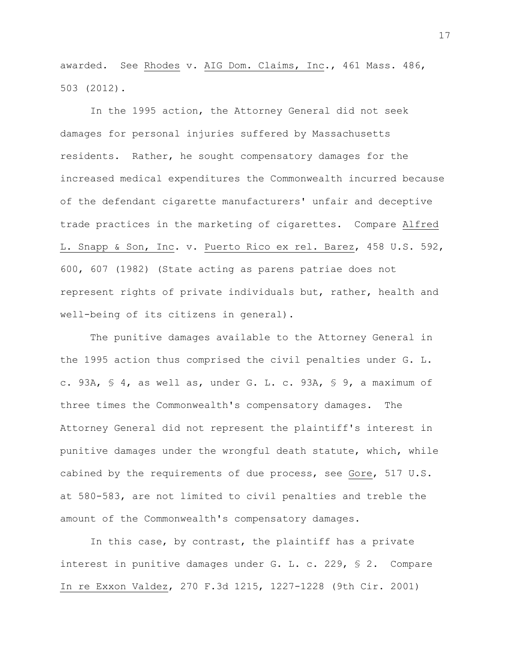awarded. See Rhodes v. AIG Dom. Claims, Inc., 461 Mass. 486, 503 (2012).

In the 1995 action, the Attorney General did not seek damages for personal injuries suffered by Massachusetts residents. Rather, he sought compensatory damages for the increased medical expenditures the Commonwealth incurred because of the defendant cigarette manufacturers' unfair and deceptive trade practices in the marketing of cigarettes. Compare Alfred L. Snapp & Son, Inc. v. Puerto Rico ex rel. Barez, 458 U.S. 592, 600, 607 (1982) (State acting as parens patriae does not represent rights of private individuals but, rather, health and well-being of its citizens in general).

The punitive damages available to the Attorney General in the 1995 action thus comprised the civil penalties under G. L. c. 93A, § 4, as well as, under G. L. c. 93A, § 9, a maximum of three times the Commonwealth's compensatory damages. The Attorney General did not represent the plaintiff's interest in punitive damages under the wrongful death statute, which, while cabined by the requirements of due process, see Gore, 517 U.S. at 580-583, are not limited to civil penalties and treble the amount of the Commonwealth's compensatory damages.

In this case, by contrast, the plaintiff has a private interest in punitive damages under G. L. c. 229, § 2. Compare In re Exxon Valdez, 270 F.3d 1215, 1227-1228 (9th Cir. 2001)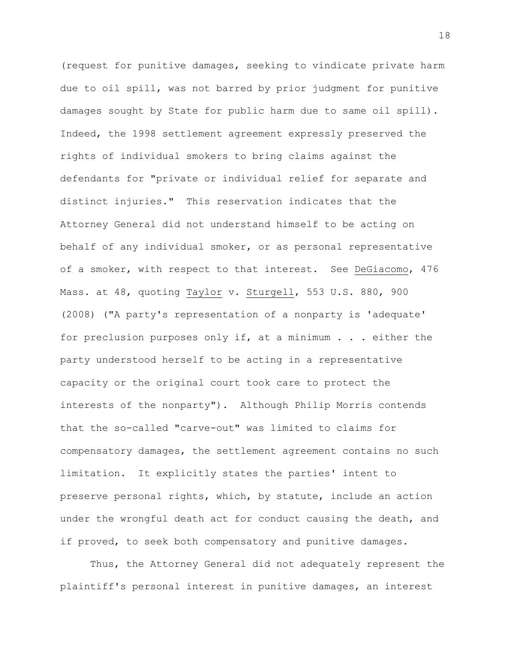(request for punitive damages, seeking to vindicate private harm due to oil spill, was not barred by prior judgment for punitive damages sought by State for public harm due to same oil spill). Indeed, the 1998 settlement agreement expressly preserved the rights of individual smokers to bring claims against the defendants for "private or individual relief for separate and distinct injuries." This reservation indicates that the Attorney General did not understand himself to be acting on behalf of any individual smoker, or as personal representative of a smoker, with respect to that interest. See DeGiacomo, 476 Mass. at 48, quoting Taylor v. Sturgell, 553 U.S. 880, 900 (2008) ("A party's representation of a nonparty is 'adequate' for preclusion purposes only if, at a minimum . . . either the party understood herself to be acting in a representative capacity or the original court took care to protect the interests of the nonparty"). Although Philip Morris contends that the so-called "carve-out" was limited to claims for compensatory damages, the settlement agreement contains no such limitation. It explicitly states the parties' intent to preserve personal rights, which, by statute, include an action under the wrongful death act for conduct causing the death, and if proved, to seek both compensatory and punitive damages.

Thus, the Attorney General did not adequately represent the plaintiff's personal interest in punitive damages, an interest

18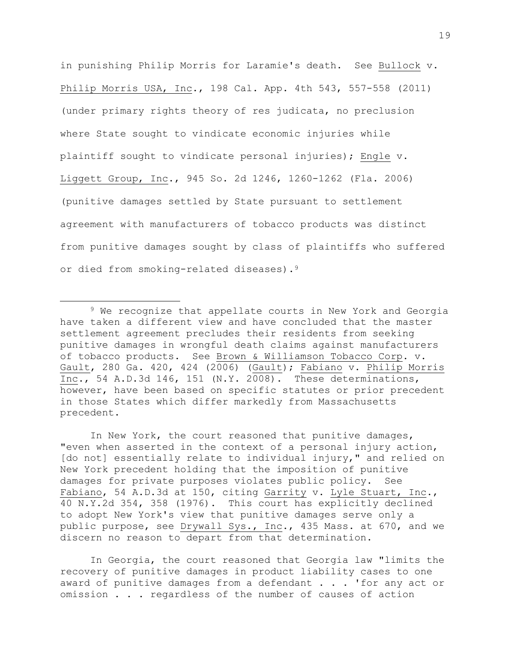in punishing Philip Morris for Laramie's death. See Bullock v. Philip Morris USA, Inc., 198 Cal. App. 4th 543, 557-558 (2011) (under primary rights theory of res judicata, no preclusion where State sought to vindicate economic injuries while plaintiff sought to vindicate personal injuries); Engle v. Liggett Group, Inc., 945 So. 2d 1246, 1260-1262 (Fla. 2006) (punitive damages settled by State pursuant to settlement agreement with manufacturers of tobacco products was distinct from punitive damages sought by class of plaintiffs who suffered or died from smoking-related diseases).<sup>9</sup>

In New York, the court reasoned that punitive damages, "even when asserted in the context of a personal injury action, [do not] essentially relate to individual injury," and relied on New York precedent holding that the imposition of punitive damages for private purposes violates public policy. See Fabiano, 54 A.D.3d at 150, citing Garrity v. Lyle Stuart, Inc., 40 N.Y.2d 354, 358 (1976). This court has explicitly declined to adopt New York's view that punitive damages serve only a public purpose, see Drywall Sys., Inc., 435 Mass. at 670, and we discern no reason to depart from that determination.

In Georgia, the court reasoned that Georgia law "limits the recovery of punitive damages in product liability cases to one award of punitive damages from a defendant . . . 'for any act or omission . . . regardless of the number of causes of action

<sup>&</sup>lt;sup>9</sup> We recognize that appellate courts in New York and Georgia have taken a different view and have concluded that the master settlement agreement precludes their residents from seeking punitive damages in wrongful death claims against manufacturers of tobacco products. See Brown & Williamson Tobacco Corp. v. Gault, 280 Ga. 420, 424 (2006) (Gault); Fabiano v. Philip Morris Inc., 54 A.D.3d 146, 151 (N.Y. 2008). These determinations, however, have been based on specific statutes or prior precedent in those States which differ markedly from Massachusetts precedent.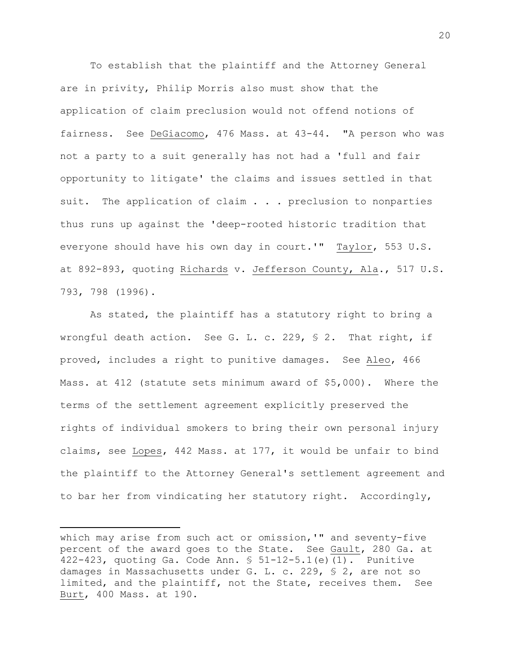To establish that the plaintiff and the Attorney General are in privity, Philip Morris also must show that the application of claim preclusion would not offend notions of fairness. See DeGiacomo, 476 Mass. at 43-44. "A person who was not a party to a suit generally has not had a 'full and fair opportunity to litigate' the claims and issues settled in that suit. The application of claim . . . preclusion to nonparties thus runs up against the 'deep-rooted historic tradition that everyone should have his own day in court.'" Taylor, 553 U.S. at 892-893, quoting Richards v. Jefferson County, Ala., 517 U.S. 793, 798 (1996).

As stated, the plaintiff has a statutory right to bring a wrongful death action. See G. L. c. 229, § 2. That right, if proved, includes a right to punitive damages. See Aleo, 466 Mass. at 412 (statute sets minimum award of \$5,000). Where the terms of the settlement agreement explicitly preserved the rights of individual smokers to bring their own personal injury claims, see Lopes, 442 Mass. at 177, it would be unfair to bind the plaintiff to the Attorney General's settlement agreement and to bar her from vindicating her statutory right. Accordingly,

which may arise from such act or omission, '" and seventy-five percent of the award goes to the State. See Gault, 280 Ga. at 422-423, quoting Ga. Code Ann. § 51-12-5.1(e)(1). Punitive damages in Massachusetts under G. L. c. 229, § 2, are not so limited, and the plaintiff, not the State, receives them. See Burt, 400 Mass. at 190.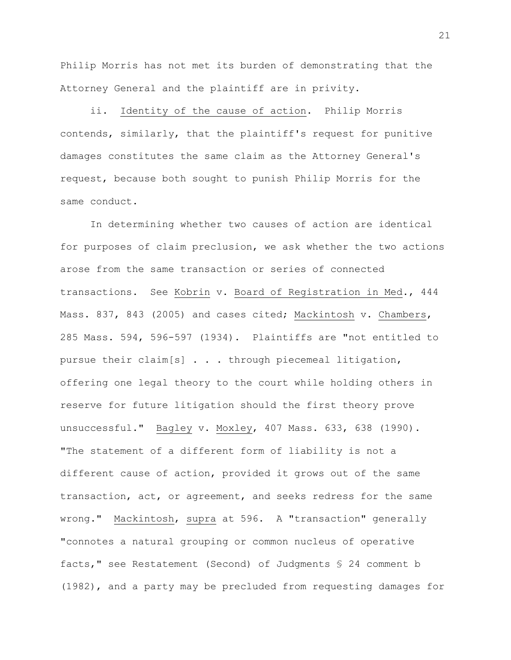Philip Morris has not met its burden of demonstrating that the Attorney General and the plaintiff are in privity.

ii. Identity of the cause of action. Philip Morris contends, similarly, that the plaintiff's request for punitive damages constitutes the same claim as the Attorney General's request, because both sought to punish Philip Morris for the same conduct.

In determining whether two causes of action are identical for purposes of claim preclusion, we ask whether the two actions arose from the same transaction or series of connected transactions. See Kobrin v. Board of Registration in Med., 444 Mass. 837, 843 (2005) and cases cited; Mackintosh v. Chambers, 285 Mass. 594, 596-597 (1934). Plaintiffs are "not entitled to pursue their claim[s] . . . through piecemeal litigation, offering one legal theory to the court while holding others in reserve for future litigation should the first theory prove unsuccessful." Bagley v. Moxley, 407 Mass. 633, 638 (1990). "The statement of a different form of liability is not a different cause of action, provided it grows out of the same transaction, act, or agreement, and seeks redress for the same wrong." Mackintosh, supra at 596. A "transaction" generally "connotes a natural grouping or common nucleus of operative facts," see Restatement (Second) of Judgments § 24 comment b (1982), and a party may be precluded from requesting damages for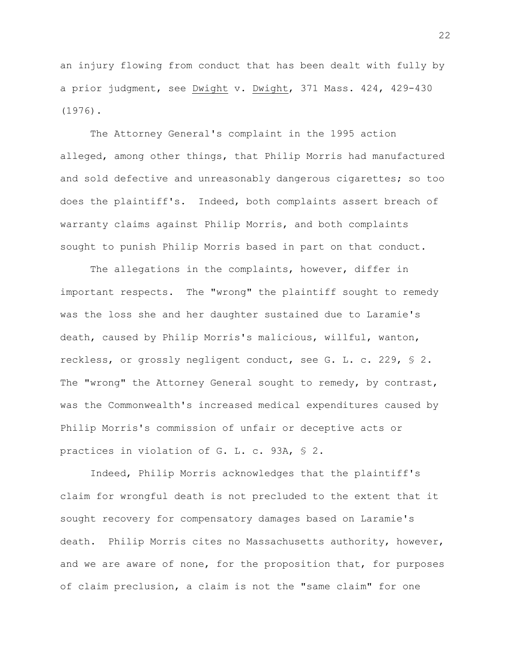an injury flowing from conduct that has been dealt with fully by a prior judgment, see Dwight v. Dwight, 371 Mass. 424, 429-430 (1976).

The Attorney General's complaint in the 1995 action alleged, among other things, that Philip Morris had manufactured and sold defective and unreasonably dangerous cigarettes; so too does the plaintiff's. Indeed, both complaints assert breach of warranty claims against Philip Morris, and both complaints sought to punish Philip Morris based in part on that conduct.

The allegations in the complaints, however, differ in important respects. The "wrong" the plaintiff sought to remedy was the loss she and her daughter sustained due to Laramie's death, caused by Philip Morris's malicious, willful, wanton, reckless, or grossly negligent conduct, see G. L. c. 229, § 2. The "wrong" the Attorney General sought to remedy, by contrast, was the Commonwealth's increased medical expenditures caused by Philip Morris's commission of unfair or deceptive acts or practices in violation of G. L. c. 93A, § 2.

Indeed, Philip Morris acknowledges that the plaintiff's claim for wrongful death is not precluded to the extent that it sought recovery for compensatory damages based on Laramie's death. Philip Morris cites no Massachusetts authority, however, and we are aware of none, for the proposition that, for purposes of claim preclusion, a claim is not the "same claim" for one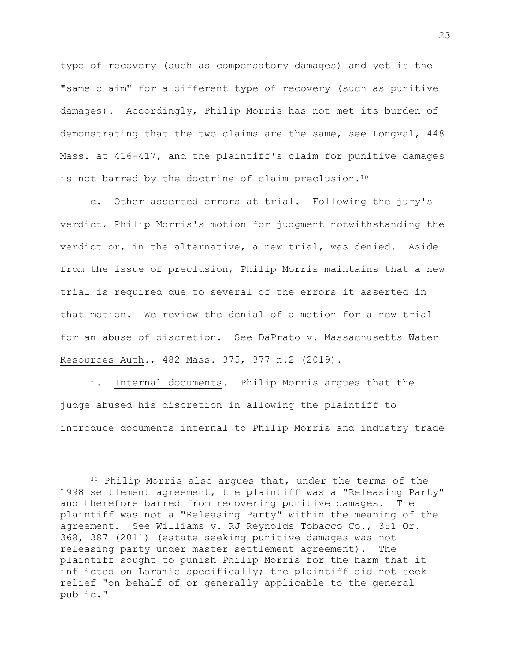type of recovery (such as compensatory damages) and yet is the "same claim" for a different type of recovery (such as punitive damages). Accordingly, Philip Morris has not met its burden of demonstrating that the two claims are the same, see Longval, 448 Mass. at 416-417, and the plaintiff's claim for punitive damages is not barred by the doctrine of claim preclusion.<sup>10</sup>

c. Other asserted errors at trial. Following the jury's verdict, Philip Morris's motion for judgment notwithstanding the verdict or, in the alternative, a new trial, was denied. Aside from the issue of preclusion, Philip Morris maintains that a new trial is required due to several of the errors it asserted in that motion. We review the denial of a motion for a new trial for an abuse of discretion. See DaPrato v. Massachusetts Water Resources Auth., 482 Mass. 375, 377 n.2 (2019).

i. Internal documents. Philip Morris argues that the judge abused his discretion in allowing the plaintiff to introduce documents internal to Philip Morris and industry trade

<sup>10</sup> Philip Morris also argues that, under the terms of the 1998 settlement agreement, the plaintiff was a "Releasing Party" and therefore barred from recovering punitive damages. The plaintiff was not a "Releasing Party" within the meaning of the agreement. See Williams v. RJ Reynolds Tobacco Co., 351 Or. 368, 387 (2011) (estate seeking punitive damages was not releasing party under master settlement agreement). The plaintiff sought to punish Philip Morris for the harm that it inflicted on Laramie specifically; the plaintiff did not seek relief "on behalf of or generally applicable to the general public."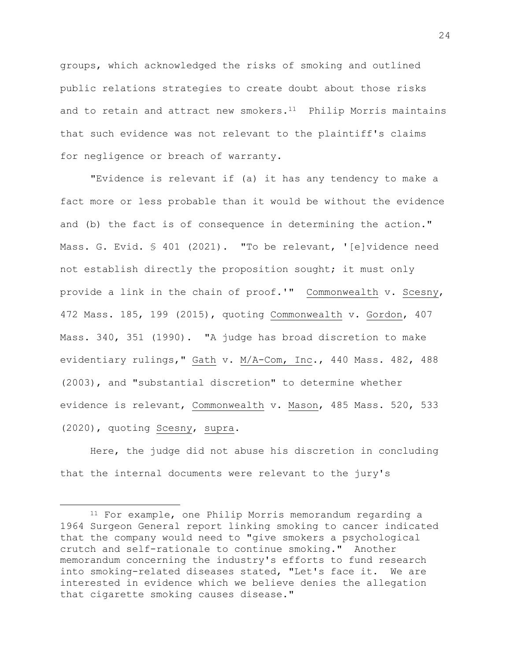groups, which acknowledged the risks of smoking and outlined public relations strategies to create doubt about those risks and to retain and attract new smokers. $11$  Philip Morris maintains that such evidence was not relevant to the plaintiff's claims for negligence or breach of warranty.

"Evidence is relevant if (a) it has any tendency to make a fact more or less probable than it would be without the evidence and (b) the fact is of consequence in determining the action." Mass. G. Evid. § 401 (2021). "To be relevant, '[e]vidence need not establish directly the proposition sought; it must only provide a link in the chain of proof.'" Commonwealth v. Scesny, 472 Mass. 185, 199 (2015), quoting Commonwealth v. Gordon, 407 Mass. 340, 351 (1990). "A judge has broad discretion to make evidentiary rulings," Gath v. M/A-Com, Inc., 440 Mass. 482, 488 (2003), and "substantial discretion" to determine whether evidence is relevant, Commonwealth v. Mason, 485 Mass. 520, 533 (2020), quoting Scesny, supra.

Here, the judge did not abuse his discretion in concluding that the internal documents were relevant to the jury's

<sup>11</sup> For example, one Philip Morris memorandum regarding a 1964 Surgeon General report linking smoking to cancer indicated that the company would need to "give smokers a psychological crutch and self-rationale to continue smoking." Another memorandum concerning the industry's efforts to fund research into smoking-related diseases stated, "Let's face it. We are interested in evidence which we believe denies the allegation that cigarette smoking causes disease."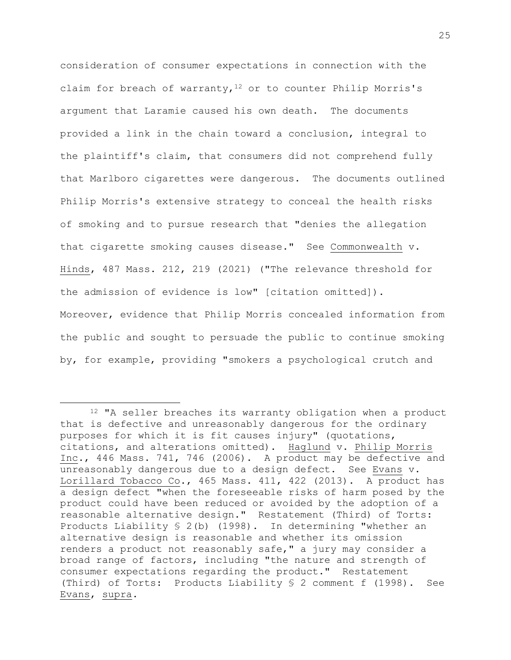consideration of consumer expectations in connection with the claim for breach of warranty,  $12$  or to counter Philip Morris's argument that Laramie caused his own death. The documents provided a link in the chain toward a conclusion, integral to the plaintiff's claim, that consumers did not comprehend fully that Marlboro cigarettes were dangerous. The documents outlined Philip Morris's extensive strategy to conceal the health risks of smoking and to pursue research that "denies the allegation that cigarette smoking causes disease." See Commonwealth v. Hinds, 487 Mass. 212, 219 (2021) ("The relevance threshold for the admission of evidence is low" [citation omitted]). Moreover, evidence that Philip Morris concealed information from the public and sought to persuade the public to continue smoking by, for example, providing "smokers a psychological crutch and

<sup>&</sup>lt;sup>12</sup> "A seller breaches its warranty obligation when a product that is defective and unreasonably dangerous for the ordinary purposes for which it is fit causes injury" (quotations, citations, and alterations omitted). Haglund v. Philip Morris Inc., 446 Mass. 741, 746 (2006). A product may be defective and unreasonably dangerous due to a design defect. See Evans v. Lorillard Tobacco Co., 465 Mass. 411, 422 (2013). A product has a design defect "when the foreseeable risks of harm posed by the product could have been reduced or avoided by the adoption of a reasonable alternative design." Restatement (Third) of Torts: Products Liability § 2(b) (1998). In determining "whether an alternative design is reasonable and whether its omission renders a product not reasonably safe," a jury may consider a broad range of factors, including "the nature and strength of consumer expectations regarding the product." Restatement (Third) of Torts: Products Liability § 2 comment f (1998). See Evans, supra.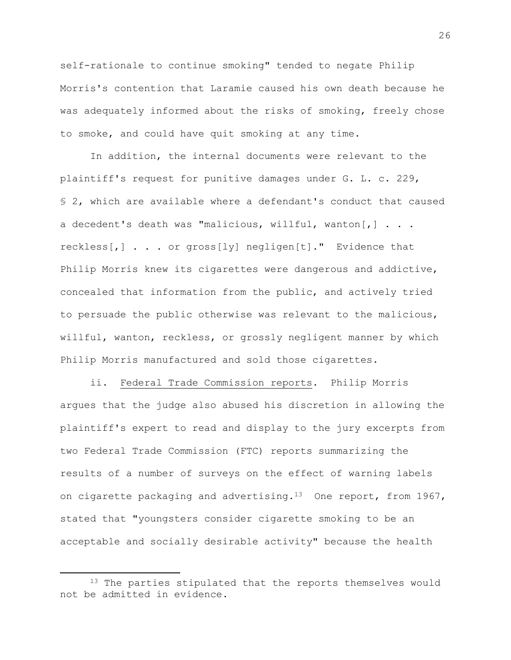self-rationale to continue smoking" tended to negate Philip Morris's contention that Laramie caused his own death because he was adequately informed about the risks of smoking, freely chose to smoke, and could have quit smoking at any time.

In addition, the internal documents were relevant to the plaintiff's request for punitive damages under G. L. c. 229, § 2, which are available where a defendant's conduct that caused a decedent's death was "malicious, willful, wanton[,] . . . reckless[,] . . . or gross[ly] negligen[t]." Evidence that Philip Morris knew its cigarettes were dangerous and addictive, concealed that information from the public, and actively tried to persuade the public otherwise was relevant to the malicious, willful, wanton, reckless, or grossly negligent manner by which Philip Morris manufactured and sold those cigarettes.

ii. Federal Trade Commission reports. Philip Morris argues that the judge also abused his discretion in allowing the plaintiff's expert to read and display to the jury excerpts from two Federal Trade Commission (FTC) reports summarizing the results of a number of surveys on the effect of warning labels on cigarette packaging and advertising.<sup>13</sup> One report, from 1967, stated that "youngsters consider cigarette smoking to be an acceptable and socially desirable activity" because the health

<sup>&</sup>lt;sup>13</sup> The parties stipulated that the reports themselves would not be admitted in evidence.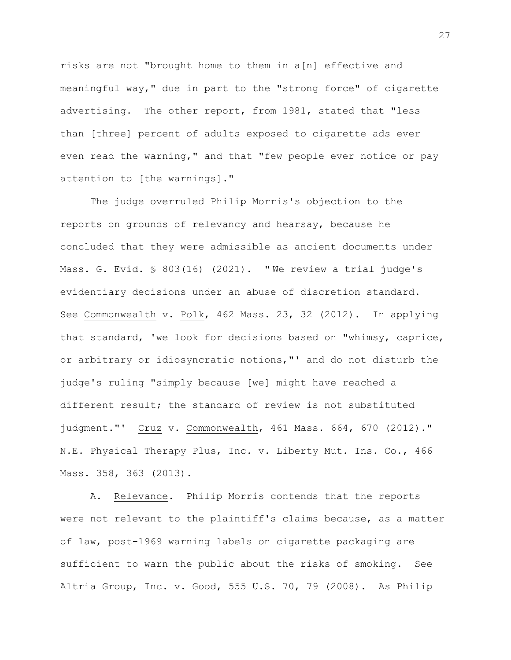risks are not "brought home to them in a[n] effective and meaningful way," due in part to the "strong force" of cigarette advertising. The other report, from 1981, stated that "less than [three] percent of adults exposed to cigarette ads ever even read the warning," and that "few people ever notice or pay attention to [the warnings]."

The judge overruled Philip Morris's objection to the reports on grounds of relevancy and hearsay, because he concluded that they were admissible as ancient documents under Mass. G. Evid. § 803(16) (2021). " We review a trial judge's evidentiary decisions under an abuse of discretion standard. See Commonwealth v. Polk, 462 Mass. 23, 32 (2012). In applying that standard, 'we look for decisions based on "whimsy, caprice, or arbitrary or idiosyncratic notions,"' and do not disturb the judge's ruling "simply because [we] might have reached a different result; the standard of review is not substituted judgment."' Cruz v. Commonwealth, 461 Mass. 664, 670 (2012)." N.E. Physical Therapy Plus, Inc. v. Liberty Mut. Ins. Co., 466 Mass. 358, 363 (2013).

A. Relevance. Philip Morris contends that the reports were not relevant to the plaintiff's claims because, as a matter of law, post-1969 warning labels on cigarette packaging are sufficient to warn the public about the risks of smoking. See Altria Group, Inc. v. Good, 555 U.S. 70, 79 (2008). As Philip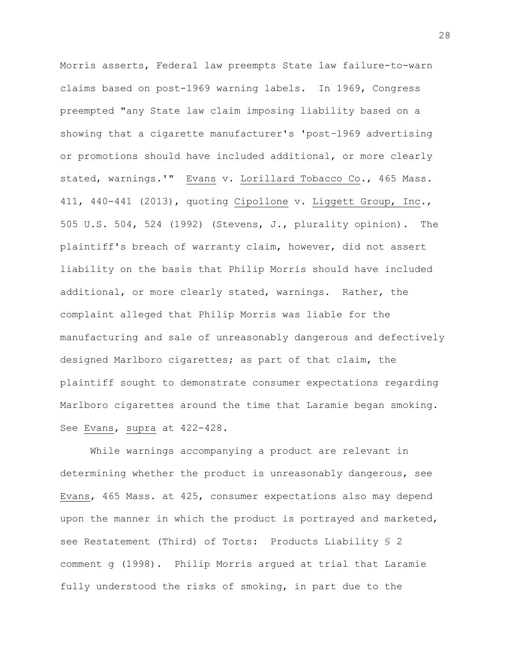Morris asserts, Federal law preempts State law failure-to-warn claims based on post-1969 warning labels. In 1969, Congress preempted "any State law claim imposing liability based on a showing that a cigarette manufacturer's 'post–1969 advertising or promotions should have included additional, or more clearly stated, warnings.'" Evans v. Lorillard Tobacco Co., 465 Mass. 411, 440-441 (2013), quoting Cipollone v. Liggett Group, Inc., 505 U.S. 504, 524 (1992) (Stevens, J., plurality opinion). The plaintiff's breach of warranty claim, however, did not assert liability on the basis that Philip Morris should have included additional, or more clearly stated, warnings. Rather, the complaint alleged that Philip Morris was liable for the manufacturing and sale of unreasonably dangerous and defectively designed Marlboro cigarettes; as part of that claim, the plaintiff sought to demonstrate consumer expectations regarding Marlboro cigarettes around the time that Laramie began smoking. See Evans, supra at 422-428.

While warnings accompanying a product are relevant in determining whether the product is unreasonably dangerous, see Evans, 465 Mass. at 425, consumer expectations also may depend upon the manner in which the product is portrayed and marketed, see Restatement (Third) of Torts: Products Liability § 2 comment g (1998). Philip Morris argued at trial that Laramie fully understood the risks of smoking, in part due to the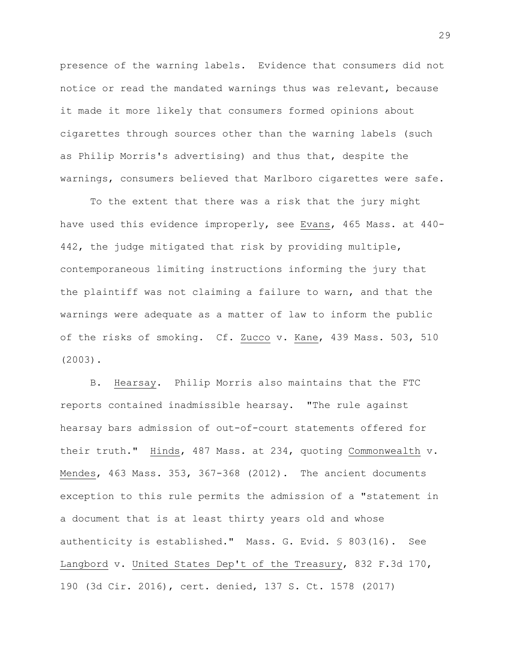presence of the warning labels. Evidence that consumers did not notice or read the mandated warnings thus was relevant, because it made it more likely that consumers formed opinions about cigarettes through sources other than the warning labels (such as Philip Morris's advertising) and thus that, despite the warnings, consumers believed that Marlboro cigarettes were safe.

To the extent that there was a risk that the jury might have used this evidence improperly, see Evans, 465 Mass. at 440- 442, the judge mitigated that risk by providing multiple, contemporaneous limiting instructions informing the jury that the plaintiff was not claiming a failure to warn, and that the warnings were adequate as a matter of law to inform the public of the risks of smoking. Cf. Zucco v. Kane, 439 Mass. 503, 510 (2003).

B. Hearsay. Philip Morris also maintains that the FTC reports contained inadmissible hearsay. "The rule against hearsay bars admission of out-of-court statements offered for their truth." Hinds, 487 Mass. at 234, quoting Commonwealth v. Mendes, 463 Mass. 353, 367-368 (2012). The ancient documents exception to this rule permits the admission of a "statement in a document that is at least thirty years old and whose authenticity is established." Mass. G. Evid. § 803(16). See Langbord v. United States Dep't of the Treasury, 832 F.3d 170, 190 (3d Cir. 2016), cert. denied, 137 S. Ct. 1578 (2017)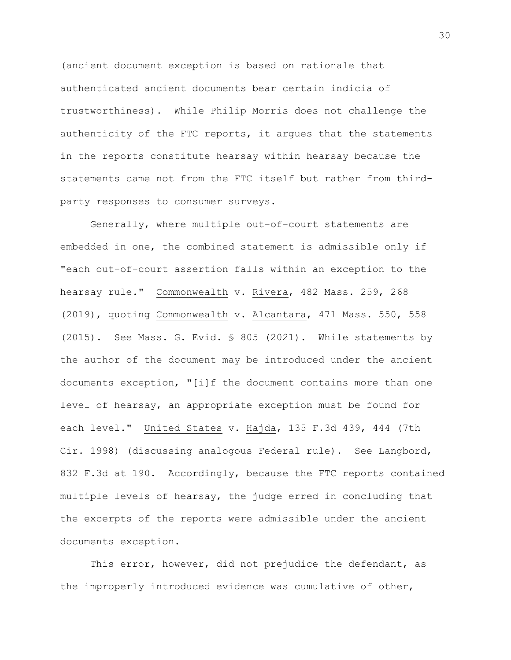(ancient document exception is based on rationale that authenticated ancient documents bear certain indicia of trustworthiness). While Philip Morris does not challenge the authenticity of the FTC reports, it argues that the statements in the reports constitute hearsay within hearsay because the statements came not from the FTC itself but rather from thirdparty responses to consumer surveys.

Generally, where multiple out-of-court statements are embedded in one, the combined statement is admissible only if "each out-of-court assertion falls within an exception to the hearsay rule." Commonwealth v. Rivera, 482 Mass. 259, 268 (2019), quoting Commonwealth v. Alcantara, 471 Mass. 550, 558 (2015). See Mass. G. Evid. § 805 (2021). While statements by the author of the document may be introduced under the ancient documents exception, "[i]f the document contains more than one level of hearsay, an appropriate exception must be found for each level." United States v. Hajda, 135 F.3d 439, 444 (7th Cir. 1998) (discussing analogous Federal rule). See Langbord, 832 F.3d at 190. Accordingly, because the FTC reports contained multiple levels of hearsay, the judge erred in concluding that the excerpts of the reports were admissible under the ancient documents exception.

This error, however, did not prejudice the defendant, as the improperly introduced evidence was cumulative of other,

30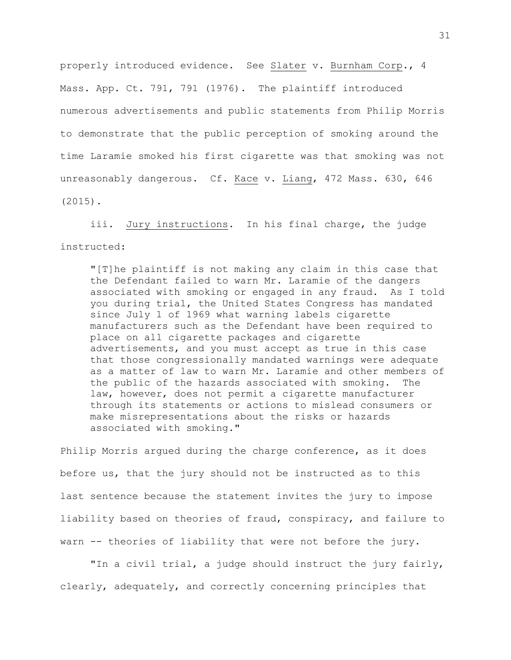properly introduced evidence. See Slater v. Burnham Corp., 4 Mass. App. Ct. 791, 791 (1976). The plaintiff introduced numerous advertisements and public statements from Philip Morris to demonstrate that the public perception of smoking around the time Laramie smoked his first cigarette was that smoking was not unreasonably dangerous. Cf. Kace v. Liang, 472 Mass. 630, 646 (2015).

iii. Jury instructions. In his final charge, the judge instructed:

"[T]he plaintiff is not making any claim in this case that the Defendant failed to warn Mr. Laramie of the dangers associated with smoking or engaged in any fraud. As I told you during trial, the United States Congress has mandated since July 1 of 1969 what warning labels cigarette manufacturers such as the Defendant have been required to place on all cigarette packages and cigarette advertisements, and you must accept as true in this case that those congressionally mandated warnings were adequate as a matter of law to warn Mr. Laramie and other members of the public of the hazards associated with smoking. The law, however, does not permit a cigarette manufacturer through its statements or actions to mislead consumers or make misrepresentations about the risks or hazards associated with smoking."

Philip Morris argued during the charge conference, as it does before us, that the jury should not be instructed as to this last sentence because the statement invites the jury to impose liability based on theories of fraud, conspiracy, and failure to warn -- theories of liability that were not before the jury.

"In a civil trial, a judge should instruct the jury fairly, clearly, adequately, and correctly concerning principles that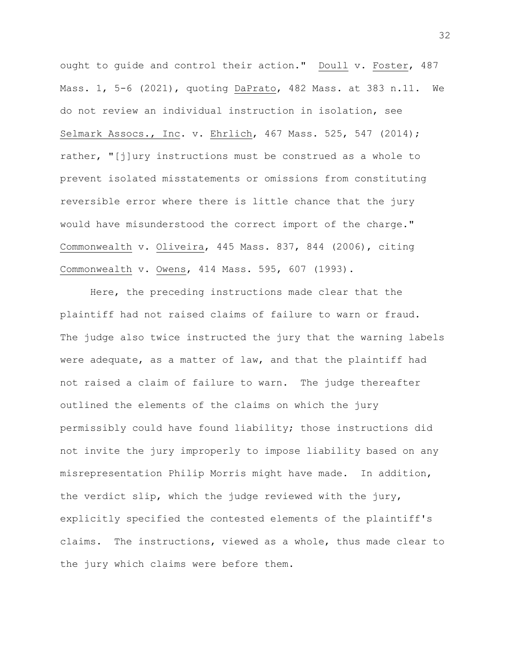ought to guide and control their action." Doull v. Foster, 487 Mass. 1, 5-6 (2021), quoting DaPrato, 482 Mass. at 383 n.11. We do not review an individual instruction in isolation, see Selmark Assocs., Inc. v. Ehrlich, 467 Mass. 525, 547 (2014); rather, "[j]ury instructions must be construed as a whole to prevent isolated misstatements or omissions from constituting reversible error where there is little chance that the jury would have misunderstood the correct import of the charge." Commonwealth v. Oliveira, 445 Mass. 837, 844 (2006), citing Commonwealth v. Owens, 414 Mass. 595, 607 (1993).

Here, the preceding instructions made clear that the plaintiff had not raised claims of failure to warn or fraud. The judge also twice instructed the jury that the warning labels were adequate, as a matter of law, and that the plaintiff had not raised a claim of failure to warn. The judge thereafter outlined the elements of the claims on which the jury permissibly could have found liability; those instructions did not invite the jury improperly to impose liability based on any misrepresentation Philip Morris might have made. In addition, the verdict slip, which the judge reviewed with the jury, explicitly specified the contested elements of the plaintiff's claims. The instructions, viewed as a whole, thus made clear to the jury which claims were before them.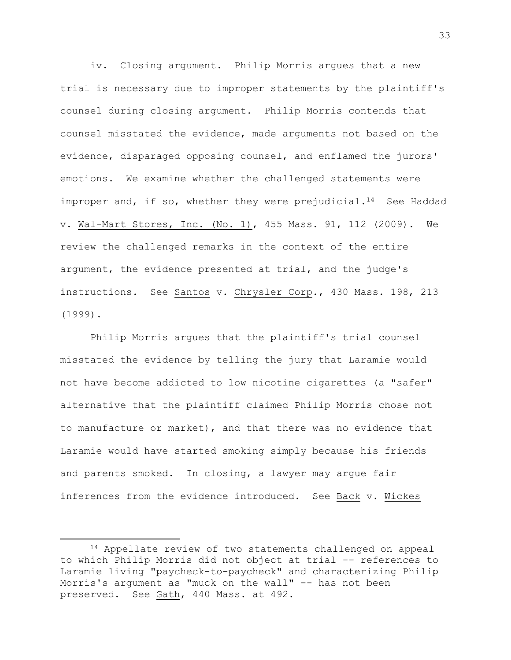iv. Closing argument. Philip Morris argues that a new trial is necessary due to improper statements by the plaintiff's counsel during closing argument. Philip Morris contends that counsel misstated the evidence, made arguments not based on the evidence, disparaged opposing counsel, and enflamed the jurors' emotions. We examine whether the challenged statements were improper and, if so, whether they were prejudicial.<sup>14</sup> See Haddad v. Wal-Mart Stores, Inc. (No. 1), 455 Mass. 91, 112 (2009). We review the challenged remarks in the context of the entire argument, the evidence presented at trial, and the judge's instructions. See Santos v. Chrysler Corp., 430 Mass. 198, 213 (1999).

Philip Morris argues that the plaintiff's trial counsel misstated the evidence by telling the jury that Laramie would not have become addicted to low nicotine cigarettes (a "safer" alternative that the plaintiff claimed Philip Morris chose not to manufacture or market), and that there was no evidence that Laramie would have started smoking simply because his friends and parents smoked. In closing, a lawyer may argue fair inferences from the evidence introduced. See Back v. Wickes

<sup>14</sup> Appellate review of two statements challenged on appeal to which Philip Morris did not object at trial -- references to Laramie living "paycheck-to-paycheck" and characterizing Philip Morris's argument as "muck on the wall" -- has not been preserved. See Gath, 440 Mass. at 492.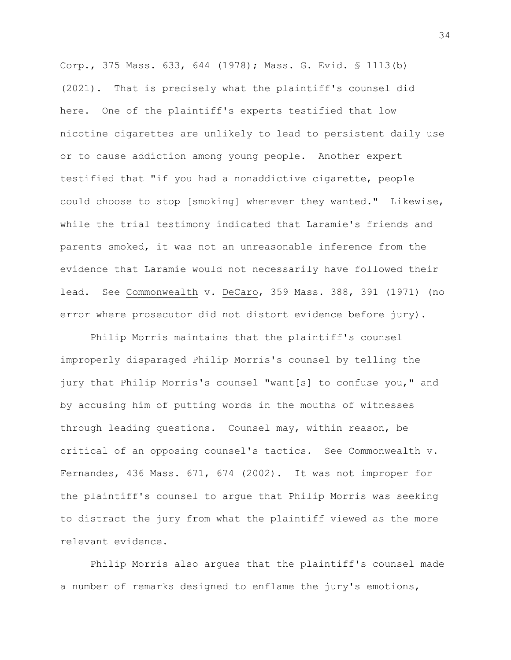Corp., 375 Mass. 633, 644 (1978); Mass. G. Evid. § 1113(b) (2021). That is precisely what the plaintiff's counsel did here. One of the plaintiff's experts testified that low nicotine cigarettes are unlikely to lead to persistent daily use or to cause addiction among young people. Another expert testified that "if you had a nonaddictive cigarette, people could choose to stop [smoking] whenever they wanted." Likewise, while the trial testimony indicated that Laramie's friends and parents smoked, it was not an unreasonable inference from the evidence that Laramie would not necessarily have followed their lead. See Commonwealth v. DeCaro, 359 Mass. 388, 391 (1971) (no error where prosecutor did not distort evidence before jury).

Philip Morris maintains that the plaintiff's counsel improperly disparaged Philip Morris's counsel by telling the jury that Philip Morris's counsel "want[s] to confuse you," and by accusing him of putting words in the mouths of witnesses through leading questions. Counsel may, within reason, be critical of an opposing counsel's tactics. See Commonwealth v. Fernandes, 436 Mass. 671, 674 (2002). It was not improper for the plaintiff's counsel to argue that Philip Morris was seeking to distract the jury from what the plaintiff viewed as the more relevant evidence.

Philip Morris also argues that the plaintiff's counsel made a number of remarks designed to enflame the jury's emotions,

34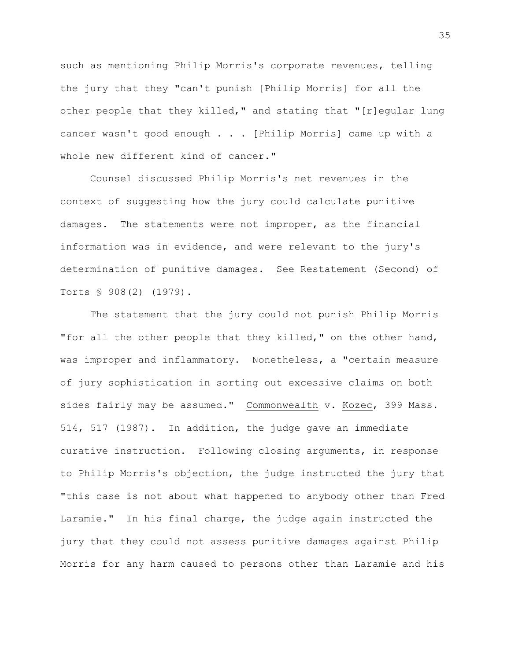such as mentioning Philip Morris's corporate revenues, telling the jury that they "can't punish [Philip Morris] for all the other people that they killed," and stating that "[r]egular lung cancer wasn't good enough . . . [Philip Morris] came up with a whole new different kind of cancer."

Counsel discussed Philip Morris's net revenues in the context of suggesting how the jury could calculate punitive damages. The statements were not improper, as the financial information was in evidence, and were relevant to the jury's determination of punitive damages. See Restatement (Second) of Torts § 908(2) (1979).

The statement that the jury could not punish Philip Morris "for all the other people that they killed," on the other hand, was improper and inflammatory. Nonetheless, a "certain measure of jury sophistication in sorting out excessive claims on both sides fairly may be assumed." Commonwealth v. Kozec, 399 Mass. 514, 517 (1987). In addition, the judge gave an immediate curative instruction. Following closing arguments, in response to Philip Morris's objection, the judge instructed the jury that "this case is not about what happened to anybody other than Fred Laramie." In his final charge, the judge again instructed the jury that they could not assess punitive damages against Philip Morris for any harm caused to persons other than Laramie and his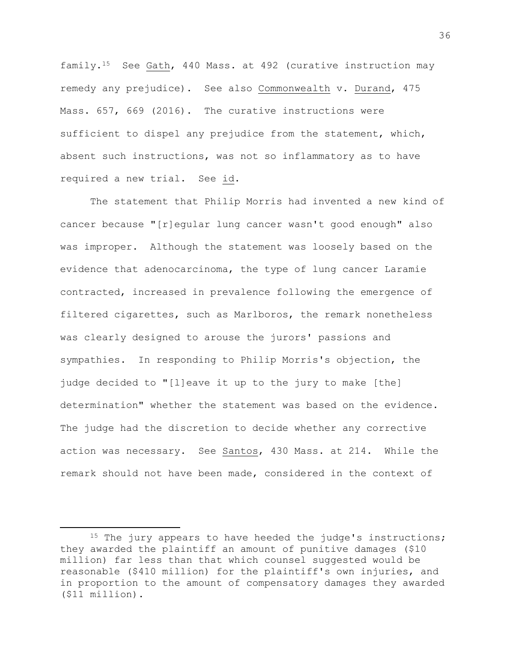family.15 See Gath, 440 Mass. at 492 (curative instruction may remedy any prejudice). See also Commonwealth v. Durand, 475 Mass. 657, 669 (2016). The curative instructions were sufficient to dispel any prejudice from the statement, which, absent such instructions, was not so inflammatory as to have required a new trial. See id.

The statement that Philip Morris had invented a new kind of cancer because "[r]egular lung cancer wasn't good enough" also was improper. Although the statement was loosely based on the evidence that adenocarcinoma, the type of lung cancer Laramie contracted, increased in prevalence following the emergence of filtered cigarettes, such as Marlboros, the remark nonetheless was clearly designed to arouse the jurors' passions and sympathies. In responding to Philip Morris's objection, the judge decided to "[l]eave it up to the jury to make [the] determination" whether the statement was based on the evidence. The judge had the discretion to decide whether any corrective action was necessary. See Santos, 430 Mass. at 214. While the remark should not have been made, considered in the context of

<sup>&</sup>lt;sup>15</sup> The jury appears to have heeded the judge's instructions; they awarded the plaintiff an amount of punitive damages (\$10 million) far less than that which counsel suggested would be reasonable (\$410 million) for the plaintiff's own injuries, and in proportion to the amount of compensatory damages they awarded (\$11 million).